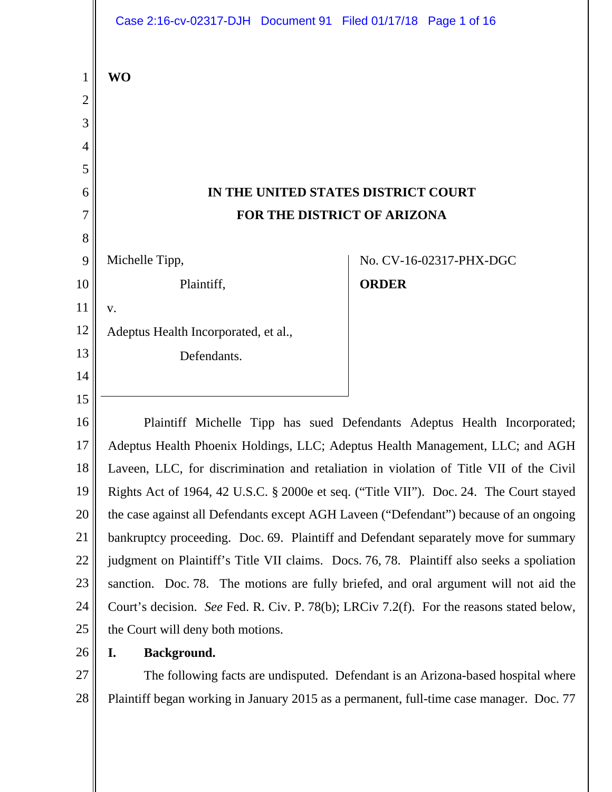|                | Case 2:16-cv-02317-DJH  Document 91  Filed 01/17/18  Page 1 of 16                         |              |                         |
|----------------|-------------------------------------------------------------------------------------------|--------------|-------------------------|
| 1              | <b>WO</b>                                                                                 |              |                         |
| $\overline{2}$ |                                                                                           |              |                         |
| 3              |                                                                                           |              |                         |
| 4              |                                                                                           |              |                         |
| 5              |                                                                                           |              |                         |
| 6              | IN THE UNITED STATES DISTRICT COURT                                                       |              |                         |
| 7              | FOR THE DISTRICT OF ARIZONA                                                               |              |                         |
| 8              |                                                                                           |              |                         |
| 9              | Michelle Tipp,                                                                            |              | No. CV-16-02317-PHX-DGC |
| 10             | Plaintiff,                                                                                | <b>ORDER</b> |                         |
| 11             | V.                                                                                        |              |                         |
| 12             | Adeptus Health Incorporated, et al.,                                                      |              |                         |
| 13             | Defendants.                                                                               |              |                         |
| 14             |                                                                                           |              |                         |
| 15             |                                                                                           |              |                         |
| 16             | Plaintiff Michelle Tipp has sued Defendants Adeptus Health Incorporated;                  |              |                         |
| 17             | Adeptus Health Phoenix Holdings, LLC; Adeptus Health Management, LLC; and AGH             |              |                         |
| 18             | Laveen, LLC, for discrimination and retaliation in violation of Title VII of the Civil    |              |                         |
| 19             | Rights Act of 1964, 42 U.S.C. § 2000e et seq. ("Title VII"). Doc. 24. The Court stayed    |              |                         |
| 20             | the case against all Defendants except AGH Laveen ("Defendant") because of an ongoing     |              |                         |
| 21             | bankruptcy proceeding. Doc. 69. Plaintiff and Defendant separately move for summary       |              |                         |
| 22             | judgment on Plaintiff's Title VII claims. Docs. 76, 78. Plaintiff also seeks a spoliation |              |                         |
| 23             | sanction. Doc. 78. The motions are fully briefed, and oral argument will not aid the      |              |                         |
| 24             | Court's decision. See Fed. R. Civ. P. 78(b); LRCiv 7.2(f). For the reasons stated below,  |              |                         |
| 25             | the Court will deny both motions.                                                         |              |                         |
| 26             | Background.<br>I.                                                                         |              |                         |
| 27             | The following facts are undisputed. Defendant is an Arizona-based hospital where          |              |                         |
| 28             | Plaintiff began working in January 2015 as a permanent, full-time case manager. Doc. 77   |              |                         |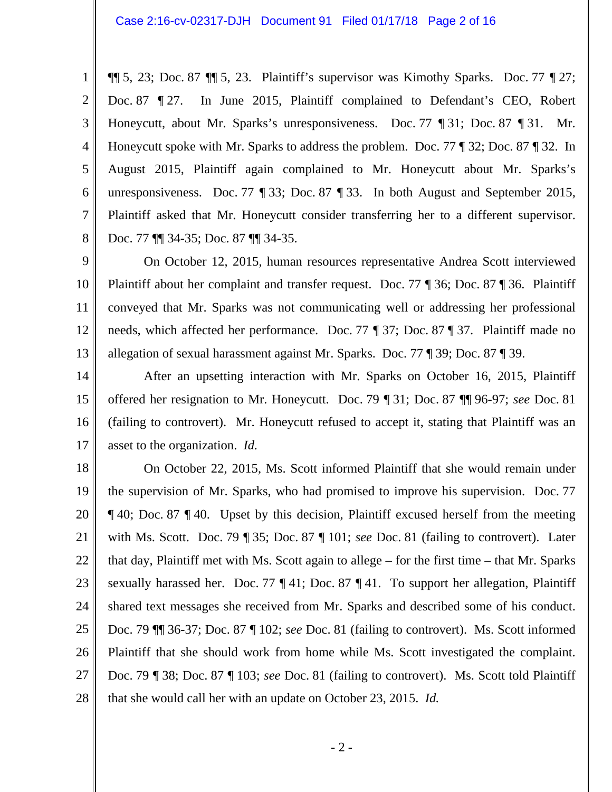1 2 3 4 5 6 7 8  $\P\P$  5, 23; Doc. 87  $\P\P$  5, 23. Plaintiff's supervisor was Kimothy Sparks. Doc. 77  $\P$  27; Doc. 87 ¶ 27. In June 2015, Plaintiff complained to Defendant's CEO, Robert Honeycutt, about Mr. Sparks's unresponsiveness. Doc. 77 ¶ 31; Doc. 87 ¶ 31. Mr. Honeycutt spoke with Mr. Sparks to address the problem. Doc. 77 ¶ 32; Doc. 87 ¶ 32. In August 2015, Plaintiff again complained to Mr. Honeycutt about Mr. Sparks's unresponsiveness. Doc. 77 ¶ 33; Doc. 87 ¶ 33. In both August and September 2015, Plaintiff asked that Mr. Honeycutt consider transferring her to a different supervisor. Doc. 77 ¶¶ 34-35; Doc. 87 ¶¶ 34-35.

9 10 11 12 13 On October 12, 2015, human resources representative Andrea Scott interviewed Plaintiff about her complaint and transfer request. Doc. 77 ¶ 36; Doc. 87 ¶ 36. Plaintiff conveyed that Mr. Sparks was not communicating well or addressing her professional needs, which affected her performance. Doc. 77 ¶ 37; Doc. 87 ¶ 37. Plaintiff made no allegation of sexual harassment against Mr. Sparks. Doc. 77 ¶ 39; Doc. 87 ¶ 39.

14 15 16 17 After an upsetting interaction with Mr. Sparks on October 16, 2015, Plaintiff offered her resignation to Mr. Honeycutt. Doc. 79 ¶ 31; Doc. 87 ¶¶ 96-97; *see* Doc. 81 (failing to controvert). Mr. Honeycutt refused to accept it, stating that Plaintiff was an asset to the organization. *Id.*

18 19 20 21 22 23 24 25 26 27 28 On October 22, 2015, Ms. Scott informed Plaintiff that she would remain under the supervision of Mr. Sparks, who had promised to improve his supervision. Doc. 77 ¶ 40; Doc. 87 ¶ 40. Upset by this decision, Plaintiff excused herself from the meeting with Ms. Scott. Doc. 79 ¶ 35; Doc. 87 ¶ 101; *see* Doc. 81 (failing to controvert). Later that day, Plaintiff met with Ms. Scott again to allege – for the first time – that Mr. Sparks sexually harassed her. Doc. 77 ¶ 41; Doc. 87 ¶ 41. To support her allegation, Plaintiff shared text messages she received from Mr. Sparks and described some of his conduct. Doc. 79 ¶¶ 36-37; Doc. 87 ¶ 102; *see* Doc. 81 (failing to controvert). Ms. Scott informed Plaintiff that she should work from home while Ms. Scott investigated the complaint. Doc. 79 ¶ 38; Doc. 87 ¶ 103; *see* Doc. 81 (failing to controvert). Ms. Scott told Plaintiff that she would call her with an update on October 23, 2015. *Id.*

- 2 -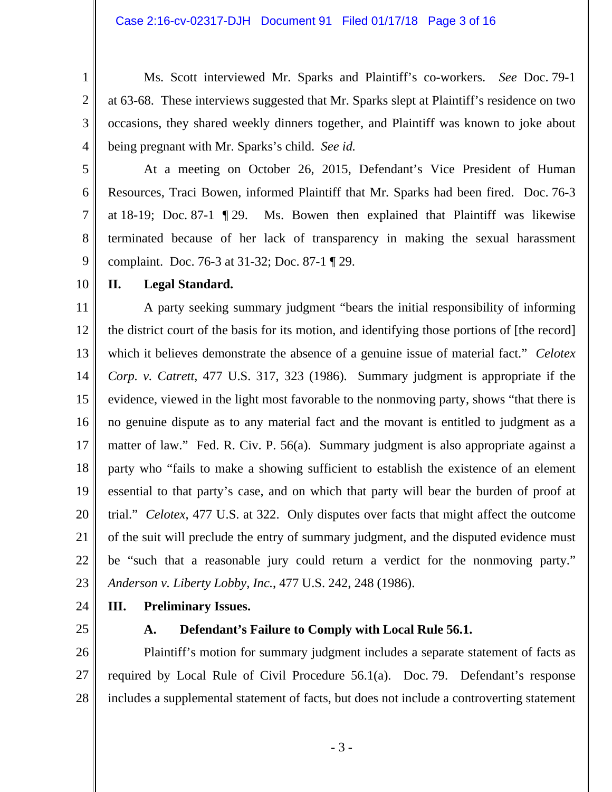Ms. Scott interviewed Mr. Sparks and Plaintiff's co-workers. *See* Doc. 79-1 at 63-68. These interviews suggested that Mr. Sparks slept at Plaintiff's residence on two occasions, they shared weekly dinners together, and Plaintiff was known to joke about being pregnant with Mr. Sparks's child. *See id.*

5 6

7

8

9

1

2

3

4

 At a meeting on October 26, 2015, Defendant's Vice President of Human Resources, Traci Bowen, informed Plaintiff that Mr. Sparks had been fired. Doc. 76-3 at 18-19; Doc. 87-1 ¶ 29. Ms. Bowen then explained that Plaintiff was likewise terminated because of her lack of transparency in making the sexual harassment complaint. Doc. 76-3 at 31-32; Doc. 87-1 ¶ 29.

10

## **II. Legal Standard.**

11 12 13 14 15 16 17 18 19 20 21 22 23 A party seeking summary judgment "bears the initial responsibility of informing the district court of the basis for its motion, and identifying those portions of [the record] which it believes demonstrate the absence of a genuine issue of material fact." *Celotex Corp. v. Catrett*, 477 U.S. 317, 323 (1986). Summary judgment is appropriate if the evidence, viewed in the light most favorable to the nonmoving party, shows "that there is no genuine dispute as to any material fact and the movant is entitled to judgment as a matter of law." Fed. R. Civ. P. 56(a). Summary judgment is also appropriate against a party who "fails to make a showing sufficient to establish the existence of an element essential to that party's case, and on which that party will bear the burden of proof at trial." *Celotex*, 477 U.S. at 322. Only disputes over facts that might affect the outcome of the suit will preclude the entry of summary judgment, and the disputed evidence must be "such that a reasonable jury could return a verdict for the nonmoving party." *Anderson v. Liberty Lobby, Inc.*, 477 U.S. 242, 248 (1986).

24

# **III. Preliminary Issues.**

25

### **A. Defendant's Failure to Comply with Local Rule 56.1.**

26 27 28 Plaintiff's motion for summary judgment includes a separate statement of facts as required by Local Rule of Civil Procedure 56.1(a). Doc. 79. Defendant's response includes a supplemental statement of facts, but does not include a controverting statement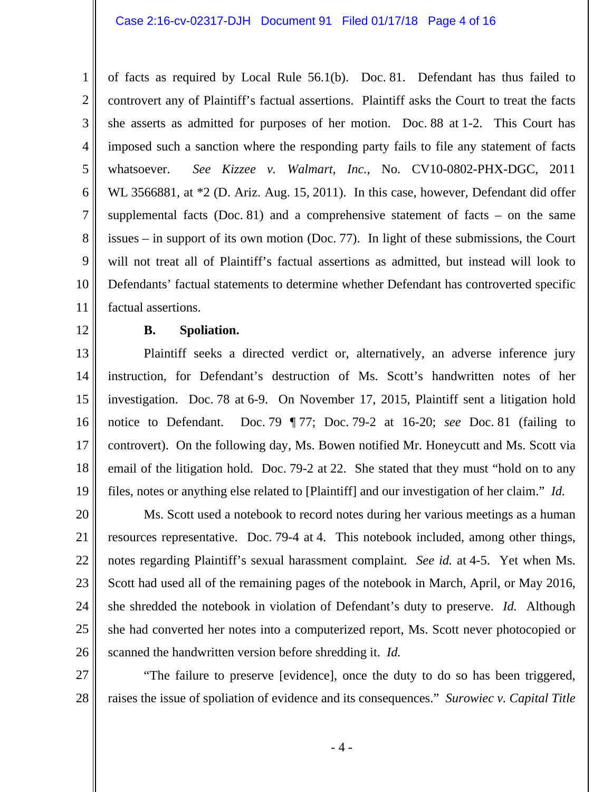#### Case 2:16-cv-02317-DJH Document 91 Filed 01/17/18 Page 4 of 16

1 2 3 4 5 6 7 8 9 10 11 of facts as required by Local Rule 56.1(b). Doc. 81. Defendant has thus failed to controvert any of Plaintiff's factual assertions. Plaintiff asks the Court to treat the facts she asserts as admitted for purposes of her motion. Doc. 88 at 1-2. This Court has imposed such a sanction where the responding party fails to file any statement of facts whatsoever. *See Kizzee v. Walmart, Inc.*, No. CV10-0802-PHX-DGC, 2011 WL 3566881, at \*2 (D. Ariz. Aug. 15, 2011). In this case, however, Defendant did offer supplemental facts (Doc. 81) and a comprehensive statement of facts – on the same issues – in support of its own motion (Doc. 77). In light of these submissions, the Court will not treat all of Plaintiff's factual assertions as admitted, but instead will look to Defendants' factual statements to determine whether Defendant has controverted specific factual assertions.

12

#### **B. Spoliation.**

13 14 15 16 17 18 19 Plaintiff seeks a directed verdict or, alternatively, an adverse inference jury instruction, for Defendant's destruction of Ms. Scott's handwritten notes of her investigation. Doc. 78 at 6-9. On November 17, 2015, Plaintiff sent a litigation hold notice to Defendant. Doc. 79 ¶ 77; Doc. 79-2 at 16-20; *see* Doc. 81 (failing to controvert). On the following day, Ms. Bowen notified Mr. Honeycutt and Ms. Scott via email of the litigation hold. Doc. 79-2 at 22. She stated that they must "hold on to any files, notes or anything else related to [Plaintiff] and our investigation of her claim." *Id.* 

20 21 22 23 24 25 26 Ms. Scott used a notebook to record notes during her various meetings as a human resources representative. Doc. 79-4 at 4. This notebook included, among other things, notes regarding Plaintiff's sexual harassment complaint. *See id.* at 4-5. Yet when Ms. Scott had used all of the remaining pages of the notebook in March, April, or May 2016, she shredded the notebook in violation of Defendant's duty to preserve. *Id.* Although she had converted her notes into a computerized report, Ms. Scott never photocopied or scanned the handwritten version before shredding it. *Id.*

27 28 "The failure to preserve [evidence], once the duty to do so has been triggered, raises the issue of spoliation of evidence and its consequences." *Surowiec v. Capital Title* 

- 4 -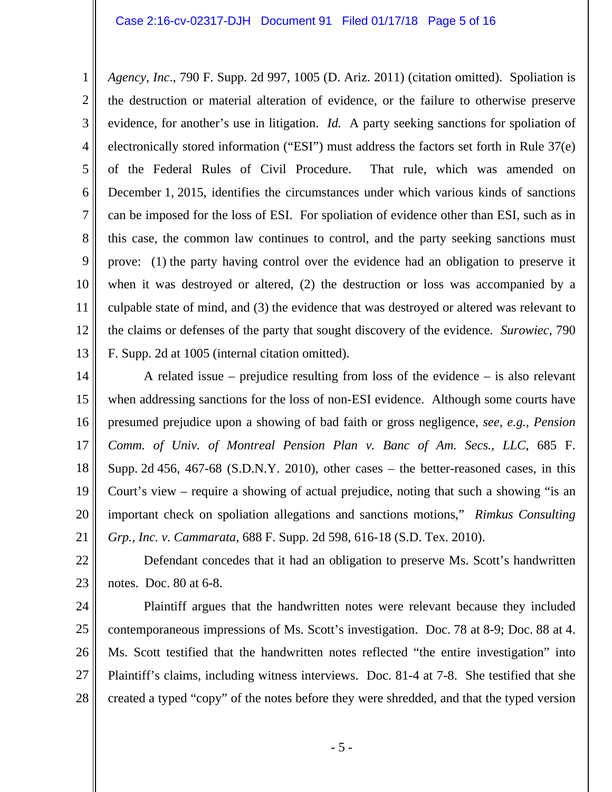1 2 3 4 5 6 7 8 9 10 11 12 13 *Agency, Inc*., 790 F. Supp. 2d 997, 1005 (D. Ariz. 2011) (citation omitted). Spoliation is the destruction or material alteration of evidence, or the failure to otherwise preserve evidence, for another's use in litigation. *Id.* A party seeking sanctions for spoliation of electronically stored information ("ESI") must address the factors set forth in Rule 37(e) of the Federal Rules of Civil Procedure. That rule, which was amended on December 1, 2015, identifies the circumstances under which various kinds of sanctions can be imposed for the loss of ESI. For spoliation of evidence other than ESI, such as in this case, the common law continues to control, and the party seeking sanctions must prove: (1) the party having control over the evidence had an obligation to preserve it when it was destroyed or altered, (2) the destruction or loss was accompanied by a culpable state of mind, and (3) the evidence that was destroyed or altered was relevant to the claims or defenses of the party that sought discovery of the evidence. *Surowiec*, 790 F. Supp. 2d at 1005 (internal citation omitted).

14 15 16 17 18 19 20 21 A related issue – prejudice resulting from loss of the evidence – is also relevant when addressing sanctions for the loss of non-ESI evidence. Although some courts have presumed prejudice upon a showing of bad faith or gross negligence, *see, e.g.*, *Pension Comm. of Univ. of Montreal Pension Plan v. Banc of Am. Secs., LLC*, 685 F. Supp. 2d 456, 467-68 (S.D.N.Y. 2010), other cases – the better-reasoned cases, in this Court's view – require a showing of actual prejudice, noting that such a showing "is an important check on spoliation allegations and sanctions motions," *Rimkus Consulting Grp., Inc. v. Cammarata*, 688 F. Supp. 2d 598, 616-18 (S.D. Tex. 2010).

22 23 Defendant concedes that it had an obligation to preserve Ms. Scott's handwritten notes. Doc. 80 at 6-8.

24 25

26 27 28 Plaintiff argues that the handwritten notes were relevant because they included contemporaneous impressions of Ms. Scott's investigation. Doc. 78 at 8-9; Doc. 88 at 4. Ms. Scott testified that the handwritten notes reflected "the entire investigation" into Plaintiff's claims, including witness interviews. Doc. 81-4 at 7-8. She testified that she created a typed "copy" of the notes before they were shredded, and that the typed version

- 5 -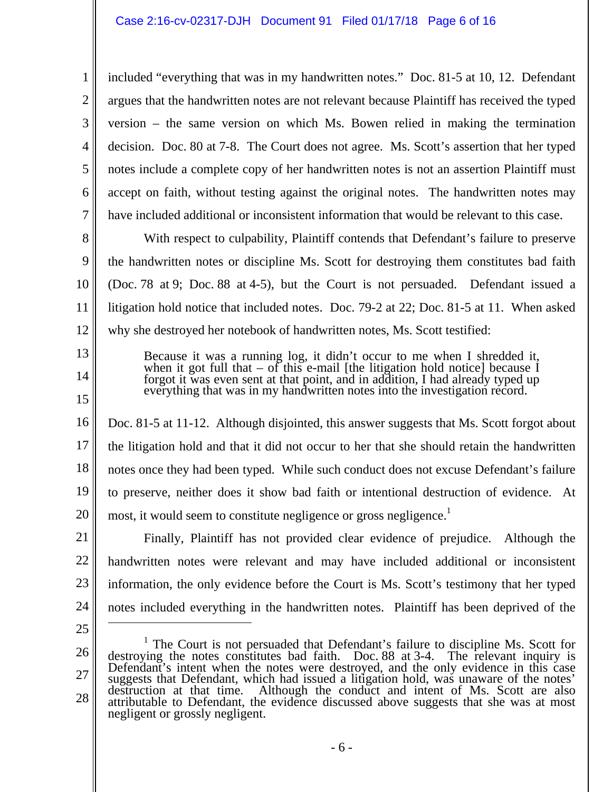included "everything that was in my handwritten notes." Doc. 81-5 at 10, 12. Defendant argues that the handwritten notes are not relevant because Plaintiff has received the typed version – the same version on which Ms. Bowen relied in making the termination decision. Doc. 80 at 7-8. The Court does not agree. Ms. Scott's assertion that her typed notes include a complete copy of her handwritten notes is not an assertion Plaintiff must accept on faith, without testing against the original notes. The handwritten notes may have included additional or inconsistent information that would be relevant to this case.

8 9 10 11 12 With respect to culpability, Plaintiff contends that Defendant's failure to preserve the handwritten notes or discipline Ms. Scott for destroying them constitutes bad faith (Doc. 78 at 9; Doc. 88 at 4-5), but the Court is not persuaded. Defendant issued a litigation hold notice that included notes. Doc. 79-2 at 22; Doc. 81-5 at 11. When asked why she destroyed her notebook of handwritten notes, Ms. Scott testified:

> Because it was a running log, it didn't occur to me when I shredded it, when it got full that  $-$  of this e-mail [the litigation hold notice] because I forgot it was even sent at that point, and in addition, I had already typed up everything that was in my handwritten notes into the investigation record.

16 17 18 19 20 Doc. 81-5 at 11-12. Although disjointed, this answer suggests that Ms. Scott forgot about the litigation hold and that it did not occur to her that she should retain the handwritten notes once they had been typed. While such conduct does not excuse Defendant's failure to preserve, neither does it show bad faith or intentional destruction of evidence. At most, it would seem to constitute negligence or gross negligence.<sup>1</sup>

21 22 23 24 Finally, Plaintiff has not provided clear evidence of prejudice. Although the handwritten notes were relevant and may have included additional or inconsistent information, the only evidence before the Court is Ms. Scott's testimony that her typed notes included everything in the handwritten notes. Plaintiff has been deprived of the  $\overline{a}$ 

25

1

2

3

4

5

6

7

13

14

15

<sup>26</sup>  27 28 <sup>1</sup> The Court is not persuaded that Defendant's failure to discipline Ms. Scott for destroying the notes constitutes bad faith. Doc. 88 at 3-4. The relevant inquiry is Defendant's intent when the notes were destroyed, and destruction at that time. Although the conduct and intent of Ms. Scott are also attributable to Defendant, the evidence discussed above suggests that she was at most negligent or grossly negligent.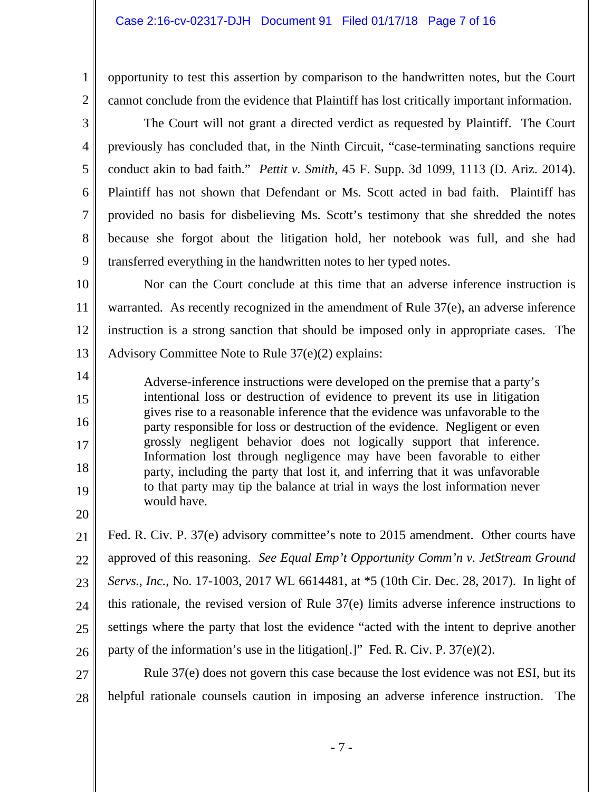opportunity to test this assertion by comparison to the handwritten notes, but the Court cannot conclude from the evidence that Plaintiff has lost critically important information.

 The Court will not grant a directed verdict as requested by Plaintiff. The Court previously has concluded that, in the Ninth Circuit, "case-terminating sanctions require conduct akin to bad faith." *Pettit v. Smith*, 45 F. Supp. 3d 1099, 1113 (D. Ariz. 2014). Plaintiff has not shown that Defendant or Ms. Scott acted in bad faith. Plaintiff has provided no basis for disbelieving Ms. Scott's testimony that she shredded the notes because she forgot about the litigation hold, her notebook was full, and she had transferred everything in the handwritten notes to her typed notes.

10 11 12 13 Nor can the Court conclude at this time that an adverse inference instruction is warranted. As recently recognized in the amendment of Rule 37(e), an adverse inference instruction is a strong sanction that should be imposed only in appropriate cases. The Advisory Committee Note to Rule 37(e)(2) explains:

Adverse-inference instructions were developed on the premise that a party's intentional loss or destruction of evidence to prevent its use in litigation gives rise to a reasonable inference that the evidence was unfavorable to the party responsible for loss or destruction of the evidence. Negligent or even grossly negligent behavior does not logically support that inference. Information lost through negligence may have been favorable to either party, including the party that lost it, and inferring that it was unfavorable to that party may tip the balance at trial in ways the lost information never would have.

20

1

2

3

4

5

6

7

8

9

14

15

16

17

18

19

21 22 23 24 25 26 Fed. R. Civ. P. 37(e) advisory committee's note to 2015 amendment. Other courts have approved of this reasoning. *See Equal Emp't Opportunity Comm'n v. JetStream Ground Servs., Inc.*, No. 17-1003, 2017 WL 6614481, at \*5 (10th Cir. Dec. 28, 2017). In light of this rationale, the revised version of Rule 37(e) limits adverse inference instructions to settings where the party that lost the evidence "acted with the intent to deprive another party of the information's use in the litigation[.]" Fed. R. Civ. P. 37(e)(2).

27 28 Rule 37(e) does not govern this case because the lost evidence was not ESI, but its helpful rationale counsels caution in imposing an adverse inference instruction. The

- 7 -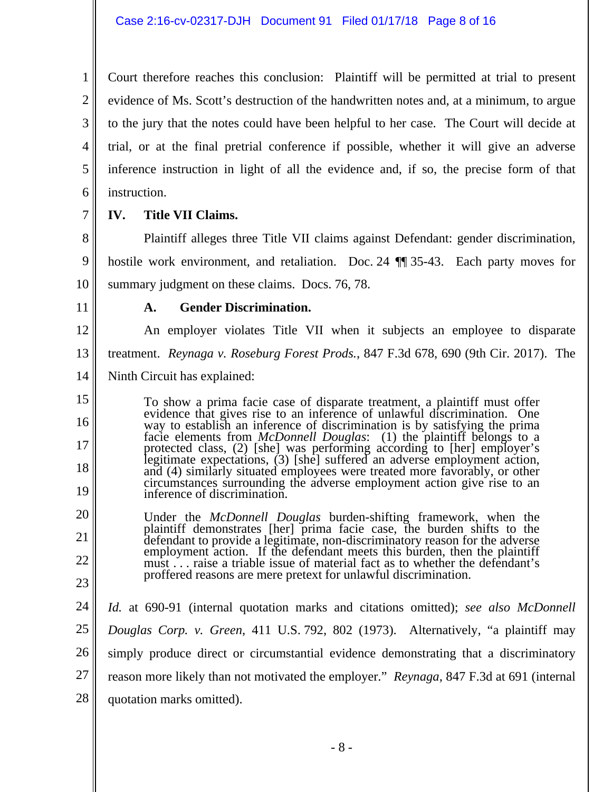Court therefore reaches this conclusion: Plaintiff will be permitted at trial to present evidence of Ms. Scott's destruction of the handwritten notes and, at a minimum, to argue to the jury that the notes could have been helpful to her case. The Court will decide at trial, or at the final pretrial conference if possible, whether it will give an adverse inference instruction in light of all the evidence and, if so, the precise form of that instruction.

7

1

2

3

4

5

6

8

9

### **IV. Title VII Claims.**

 Plaintiff alleges three Title VII claims against Defendant: gender discrimination, hostile work environment, and retaliation. Doc. 24 ¶¶ 35-43. Each party moves for summary judgment on these claims. Docs. 76, 78.

11

10

### **A. Gender Discrimination.**

12 13 14 An employer violates Title VII when it subjects an employee to disparate treatment. *Reynaga v. Roseburg Forest Prods.*, 847 F.3d 678, 690 (9th Cir. 2017). The Ninth Circuit has explained:

15 16 17 18 19 To show a prima facie case of disparate treatment, a plaintiff must offer evidence that gives rise to an inference of unlawful discrimination. One facie elements from *McDonnell Douglas*: (1) the plaintiff belongs to a<br>protected class, (2) [she] was performing according to [her] employer's<br>legitimate expectations, (3) [she] suffered an adverse employment action,<br>and

20 21 22 23 Under the *McDonnell Douglas* burden-shifting framework, when the plaintiff demonstrates [her] prima facie case, the burden shifts to the defendant to provide a legitimate, non-discriminatory reason for the adverse employment action. If the defendant meets this burden, then the plaintiff must . . . raise a triable issue of material fact as to whether the defendant's proffered reasons are mere pretext for unlawful discrimination.

24 25 26 27 28 *Id.* at 690-91 (internal quotation marks and citations omitted); *see also McDonnell Douglas Corp. v. Green*, 411 U.S. 792, 802 (1973). Alternatively, "a plaintiff may simply produce direct or circumstantial evidence demonstrating that a discriminatory reason more likely than not motivated the employer." *Reynaga*, 847 F.3d at 691 (internal quotation marks omitted).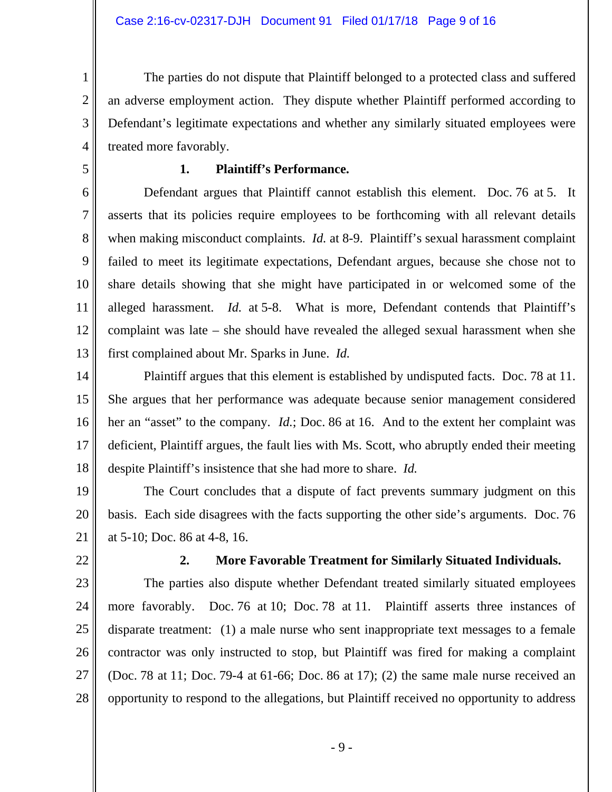The parties do not dispute that Plaintiff belonged to a protected class and suffered an adverse employment action. They dispute whether Plaintiff performed according to Defendant's legitimate expectations and whether any similarly situated employees were treated more favorably.

## 5

1

2

3

4

## **1. Plaintiff's Performance.**

6 7 8 9 10 11 12 13 Defendant argues that Plaintiff cannot establish this element. Doc. 76 at 5. It asserts that its policies require employees to be forthcoming with all relevant details when making misconduct complaints. *Id.* at 8-9. Plaintiff's sexual harassment complaint failed to meet its legitimate expectations, Defendant argues, because she chose not to share details showing that she might have participated in or welcomed some of the alleged harassment. *Id.* at 5-8. What is more, Defendant contends that Plaintiff's complaint was late – she should have revealed the alleged sexual harassment when she first complained about Mr. Sparks in June. *Id.*

14 15 16 17 18 Plaintiff argues that this element is established by undisputed facts. Doc. 78 at 11. She argues that her performance was adequate because senior management considered her an "asset" to the company. *Id.*; Doc. 86 at 16. And to the extent her complaint was deficient, Plaintiff argues, the fault lies with Ms. Scott, who abruptly ended their meeting despite Plaintiff's insistence that she had more to share. *Id.* 

19 20 21 The Court concludes that a dispute of fact prevents summary judgment on this basis. Each side disagrees with the facts supporting the other side's arguments. Doc. 76 at 5-10; Doc. 86 at 4-8, 16.

22

### **2. More Favorable Treatment for Similarly Situated Individuals.**

23 24 25 26 27 28 The parties also dispute whether Defendant treated similarly situated employees more favorably. Doc. 76 at 10; Doc. 78 at 11. Plaintiff asserts three instances of disparate treatment: (1) a male nurse who sent inappropriate text messages to a female contractor was only instructed to stop, but Plaintiff was fired for making a complaint (Doc. 78 at 11; Doc. 79-4 at 61-66; Doc. 86 at 17); (2) the same male nurse received an opportunity to respond to the allegations, but Plaintiff received no opportunity to address

- 9 -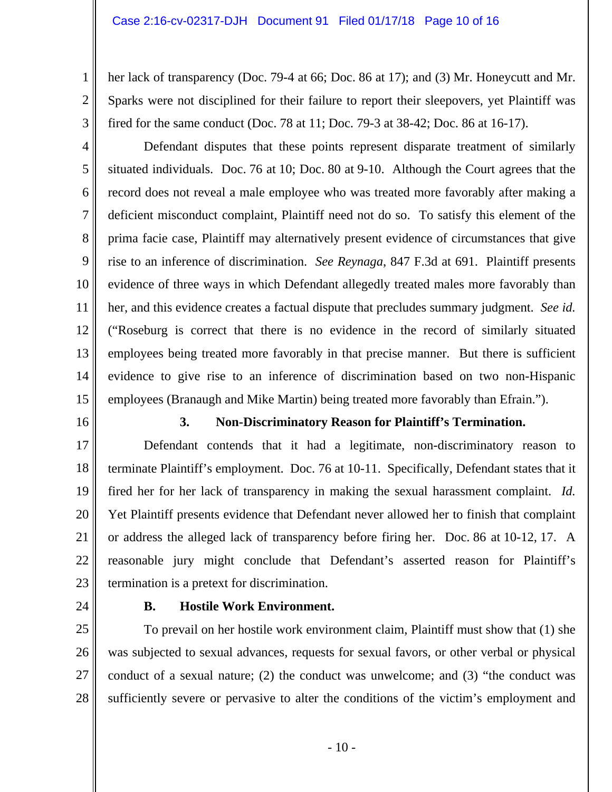#### Case 2:16-cv-02317-DJH Document 91 Filed 01/17/18 Page 10 of 16

her lack of transparency (Doc. 79-4 at 66; Doc. 86 at 17); and (3) Mr. Honeycutt and Mr. Sparks were not disciplined for their failure to report their sleepovers, yet Plaintiff was fired for the same conduct (Doc. 78 at 11; Doc. 79-3 at 38-42; Doc. 86 at 16-17).

4 5 6 7 8 9 10 11 12 13 14 15 Defendant disputes that these points represent disparate treatment of similarly situated individuals. Doc. 76 at 10; Doc. 80 at 9-10. Although the Court agrees that the record does not reveal a male employee who was treated more favorably after making a deficient misconduct complaint, Plaintiff need not do so. To satisfy this element of the prima facie case, Plaintiff may alternatively present evidence of circumstances that give rise to an inference of discrimination. *See Reynaga*, 847 F.3d at 691. Plaintiff presents evidence of three ways in which Defendant allegedly treated males more favorably than her, and this evidence creates a factual dispute that precludes summary judgment. *See id.* ("Roseburg is correct that there is no evidence in the record of similarly situated employees being treated more favorably in that precise manner. But there is sufficient evidence to give rise to an inference of discrimination based on two non-Hispanic employees (Branaugh and Mike Martin) being treated more favorably than Efrain.").

16

1

2

3

### **3. Non-Discriminatory Reason for Plaintiff's Termination.**

17 18 19 20 21 22 23 Defendant contends that it had a legitimate, non-discriminatory reason to terminate Plaintiff's employment. Doc. 76 at 10-11. Specifically, Defendant states that it fired her for her lack of transparency in making the sexual harassment complaint. *Id.* Yet Plaintiff presents evidence that Defendant never allowed her to finish that complaint or address the alleged lack of transparency before firing her. Doc. 86 at 10-12, 17. A reasonable jury might conclude that Defendant's asserted reason for Plaintiff's termination is a pretext for discrimination.

24

### **B. Hostile Work Environment.**

25 26 27 28 To prevail on her hostile work environment claim, Plaintiff must show that (1) she was subjected to sexual advances, requests for sexual favors, or other verbal or physical conduct of a sexual nature; (2) the conduct was unwelcome; and (3) "the conduct was sufficiently severe or pervasive to alter the conditions of the victim's employment and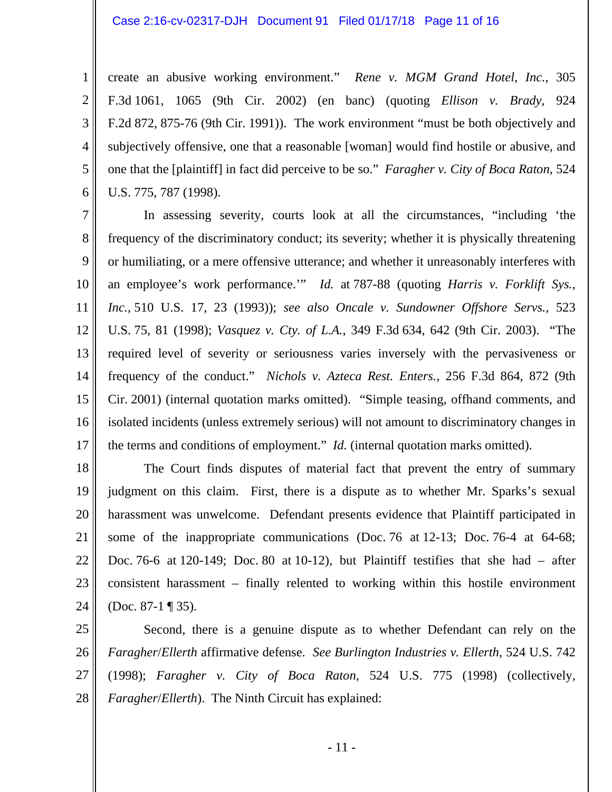1

2

3

4

5

6

create an abusive working environment." *Rene v. MGM Grand Hotel, Inc.*, 305 F.3d 1061, 1065 (9th Cir. 2002) (en banc) (quoting *Ellison v. Brady*, 924 F.2d 872, 875-76 (9th Cir. 1991)). The work environment "must be both objectively and subjectively offensive, one that a reasonable [woman] would find hostile or abusive, and one that the [plaintiff] in fact did perceive to be so." *Faragher v. City of Boca Raton*, 524 U.S. 775, 787 (1998).

7 8 9 10 11 12 13 14 15 16 17 In assessing severity, courts look at all the circumstances, "including 'the frequency of the discriminatory conduct; its severity; whether it is physically threatening or humiliating, or a mere offensive utterance; and whether it unreasonably interferes with an employee's work performance.'" *Id.* at 787-88 (quoting *Harris v. Forklift Sys., Inc.*, 510 U.S. 17, 23 (1993)); *see also Oncale v. Sundowner Offshore Servs.*, 523 U.S. 75, 81 (1998); *Vasquez v. Cty. of L.A.*, 349 F.3d 634, 642 (9th Cir. 2003). "The required level of severity or seriousness varies inversely with the pervasiveness or frequency of the conduct." *Nichols v. Azteca Rest. Enters.*, 256 F.3d 864, 872 (9th Cir. 2001) (internal quotation marks omitted). "Simple teasing, offhand comments, and isolated incidents (unless extremely serious) will not amount to discriminatory changes in the terms and conditions of employment." *Id.* (internal quotation marks omitted).

18 19 20 21 22 23 24 The Court finds disputes of material fact that prevent the entry of summary judgment on this claim. First, there is a dispute as to whether Mr. Sparks's sexual harassment was unwelcome. Defendant presents evidence that Plaintiff participated in some of the inappropriate communications (Doc. 76 at 12-13; Doc. 76-4 at 64-68; Doc. 76-6 at 120-149; Doc. 80 at 10-12), but Plaintiff testifies that she had – after consistent harassment – finally relented to working within this hostile environment (Doc. 87-1 ¶ 35).

25 26 27 28 Second, there is a genuine dispute as to whether Defendant can rely on the *Faragher*/*Ellerth* affirmative defense. *See Burlington Industries v. Ellerth*, 524 U.S. 742 (1998); *Faragher v. City of Boca Raton*, 524 U.S. 775 (1998) (collectively, *Faragher*/*Ellerth*). The Ninth Circuit has explained: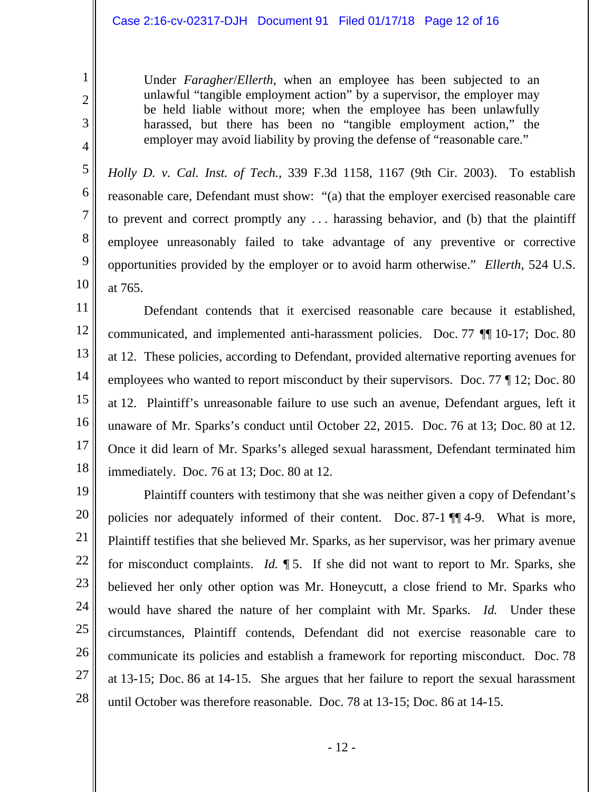#### Case 2:16-cv-02317-DJH Document 91 Filed 01/17/18 Page 12 of 16

1

2

3

4

5

6

7

8

9

10

Under *Faragher*/*Ellerth*, when an employee has been subjected to an unlawful "tangible employment action" by a supervisor, the employer may be held liable without more; when the employee has been unlawfully harassed, but there has been no "tangible employment action," the employer may avoid liability by proving the defense of "reasonable care."

*Holly D. v. Cal. Inst. of Tech.*, 339 F.3d 1158, 1167 (9th Cir. 2003). To establish reasonable care, Defendant must show: "(a) that the employer exercised reasonable care to prevent and correct promptly any . . . harassing behavior, and (b) that the plaintiff employee unreasonably failed to take advantage of any preventive or corrective opportunities provided by the employer or to avoid harm otherwise." *Ellerth*, 524 U.S. at 765.

11 12 13 14 15 16 17 18 Defendant contends that it exercised reasonable care because it established, communicated, and implemented anti-harassment policies. Doc. 77 ¶¶ 10-17; Doc. 80 at 12. These policies, according to Defendant, provided alternative reporting avenues for employees who wanted to report misconduct by their supervisors. Doc. 77 ¶ 12; Doc. 80 at 12. Plaintiff's unreasonable failure to use such an avenue, Defendant argues, left it unaware of Mr. Sparks's conduct until October 22, 2015. Doc. 76 at 13; Doc. 80 at 12. Once it did learn of Mr. Sparks's alleged sexual harassment, Defendant terminated him immediately. Doc. 76 at 13; Doc. 80 at 12.

19 20 21 22 23 24 25 26 27 28 Plaintiff counters with testimony that she was neither given a copy of Defendant's policies nor adequately informed of their content. Doc. 87-1 ¶¶ 4-9. What is more, Plaintiff testifies that she believed Mr. Sparks, as her supervisor, was her primary avenue for misconduct complaints. *Id.* ¶ 5. If she did not want to report to Mr. Sparks, she believed her only other option was Mr. Honeycutt, a close friend to Mr. Sparks who would have shared the nature of her complaint with Mr. Sparks. *Id.* Under these circumstances, Plaintiff contends, Defendant did not exercise reasonable care to communicate its policies and establish a framework for reporting misconduct. Doc. 78 at 13-15; Doc. 86 at 14-15. She argues that her failure to report the sexual harassment until October was therefore reasonable. Doc. 78 at 13-15; Doc. 86 at 14-15.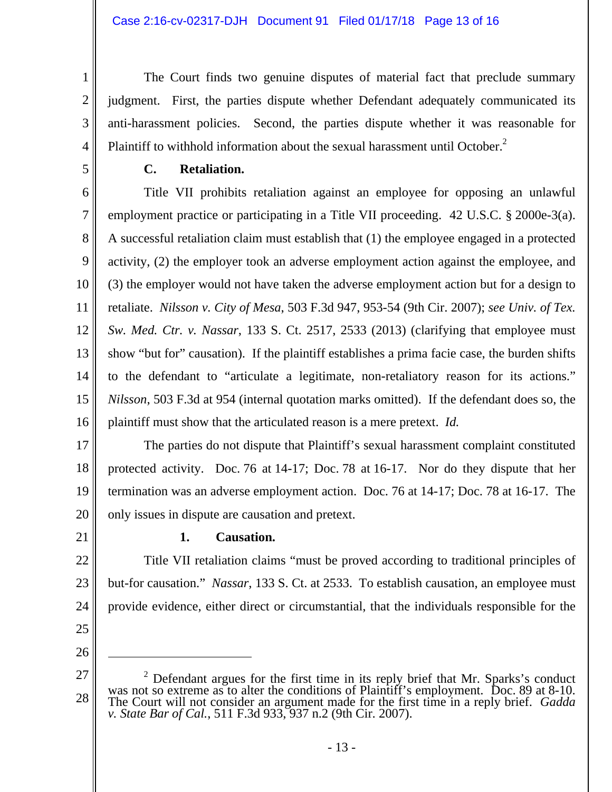The Court finds two genuine disputes of material fact that preclude summary judgment. First, the parties dispute whether Defendant adequately communicated its anti-harassment policies. Second, the parties dispute whether it was reasonable for Plaintiff to withhold information about the sexual harassment until October.<sup>2</sup>

1

2

3

4

5

# **C. Retaliation.**

6 7 8 9 10 11 12 13 14 15 16 Title VII prohibits retaliation against an employee for opposing an unlawful employment practice or participating in a Title VII proceeding. 42 U.S.C. § 2000e-3(a). A successful retaliation claim must establish that (1) the employee engaged in a protected activity, (2) the employer took an adverse employment action against the employee, and (3) the employer would not have taken the adverse employment action but for a design to retaliate. *Nilsson v. City of Mesa*, 503 F.3d 947, 953-54 (9th Cir. 2007); *see Univ. of Tex. Sw. Med. Ctr. v. Nassar*, 133 S. Ct. 2517, 2533 (2013) (clarifying that employee must show "but for" causation). If the plaintiff establishes a prima facie case, the burden shifts to the defendant to "articulate a legitimate, non-retaliatory reason for its actions." *Nilsson*, 503 F.3d at 954 (internal quotation marks omitted). If the defendant does so, the plaintiff must show that the articulated reason is a mere pretext. *Id.*

17 18 19 20 The parties do not dispute that Plaintiff's sexual harassment complaint constituted protected activity. Doc. 76 at 14-17; Doc. 78 at 16-17. Nor do they dispute that her termination was an adverse employment action. Doc. 76 at 14-17; Doc. 78 at 16-17. The only issues in dispute are causation and pretext.

21

# **1. Causation.**

22 23 24 Title VII retaliation claims "must be proved according to traditional principles of but-for causation." *Nassar*, 133 S. Ct. at 2533. To establish causation, an employee must provide evidence, either direct or circumstantial, that the individuals responsible for the

25 26

<sup>27</sup>  28 <sup>2</sup> Defendant argues for the first time in its reply brief that Mr. Sparks's conduct was not so extreme as to alter the conditions of Plaintiff's employment. Doc. 89 at 8-10. The Court will not consider an argument made f The Court will not consider an argument made for the first time in a reply brief. *Gadda* v. *State Bar of Cal.*, 511 F.3d 933, 937 n.2 (9th Cir. 2007).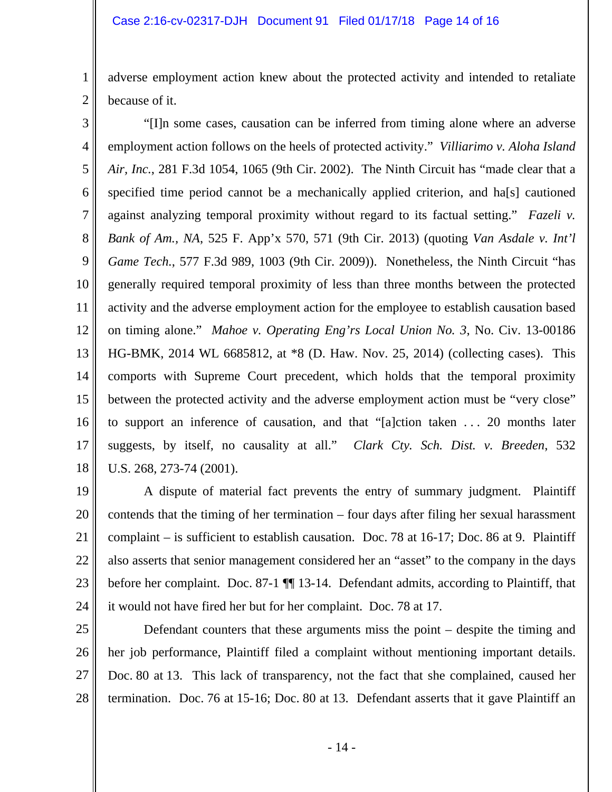1

2

adverse employment action knew about the protected activity and intended to retaliate because of it.

3 4 5 6 7 8 9 10 11 12 13 14 15 16 17 18 "[I]n some cases, causation can be inferred from timing alone where an adverse employment action follows on the heels of protected activity." *Villiarimo v. Aloha Island Air, Inc.*, 281 F.3d 1054, 1065 (9th Cir. 2002). The Ninth Circuit has "made clear that a specified time period cannot be a mechanically applied criterion, and ha[s] cautioned against analyzing temporal proximity without regard to its factual setting." *Fazeli v. Bank of Am., NA*, 525 F. App'x 570, 571 (9th Cir. 2013) (quoting *Van Asdale v. Int'l Game Tech.*, 577 F.3d 989, 1003 (9th Cir. 2009)). Nonetheless, the Ninth Circuit "has generally required temporal proximity of less than three months between the protected activity and the adverse employment action for the employee to establish causation based on timing alone." *Mahoe v. Operating Eng'rs Local Union No. 3*, No. Civ. 13-00186 HG-BMK, 2014 WL 6685812, at \*8 (D. Haw. Nov. 25, 2014) (collecting cases). This comports with Supreme Court precedent, which holds that the temporal proximity between the protected activity and the adverse employment action must be "very close" to support an inference of causation, and that "[a]ction taken . . . 20 months later suggests, by itself, no causality at all." *Clark Cty. Sch. Dist. v. Breeden*, 532 U.S. 268, 273-74 (2001).

19 20 21 22 23 24 A dispute of material fact prevents the entry of summary judgment. Plaintiff contends that the timing of her termination – four days after filing her sexual harassment complaint – is sufficient to establish causation. Doc. 78 at 16-17; Doc. 86 at 9. Plaintiff also asserts that senior management considered her an "asset" to the company in the days before her complaint. Doc. 87-1  $\P$  13-14. Defendant admits, according to Plaintiff, that it would not have fired her but for her complaint. Doc. 78 at 17.

25 26 27 28 Defendant counters that these arguments miss the point – despite the timing and her job performance, Plaintiff filed a complaint without mentioning important details. Doc. 80 at 13. This lack of transparency, not the fact that she complained, caused her termination. Doc. 76 at 15-16; Doc. 80 at 13. Defendant asserts that it gave Plaintiff an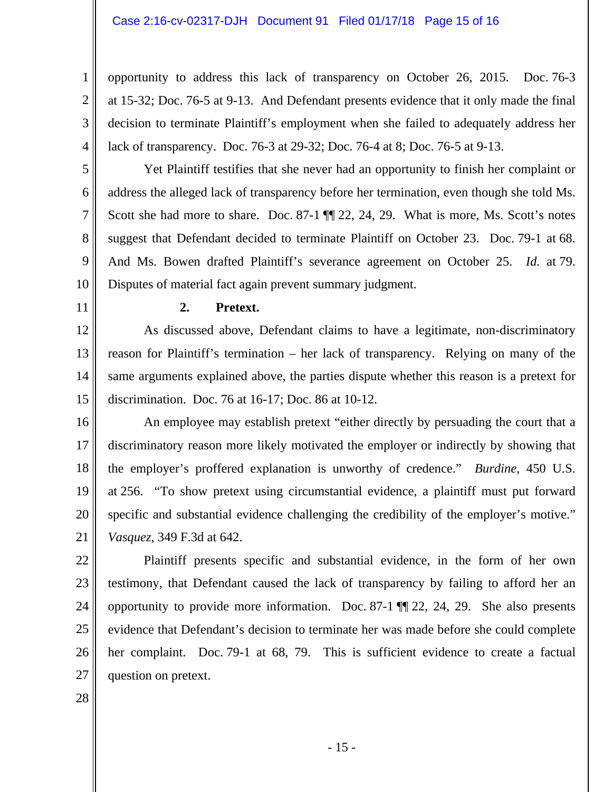opportunity to address this lack of transparency on October 26, 2015. Doc. 76-3 at 15-32; Doc. 76-5 at 9-13. And Defendant presents evidence that it only made the final decision to terminate Plaintiff's employment when she failed to adequately address her lack of transparency. Doc. 76-3 at 29-32; Doc. 76-4 at 8; Doc. 76-5 at 9-13.

6 7 Yet Plaintiff testifies that she never had an opportunity to finish her complaint or address the alleged lack of transparency before her termination, even though she told Ms. Scott she had more to share. Doc. 87-1  $\P$  22, 24, 29. What is more, Ms. Scott's notes suggest that Defendant decided to terminate Plaintiff on October 23. Doc. 79-1 at 68. And Ms. Bowen drafted Plaintiff's severance agreement on October 25. *Id.* at 79. Disputes of material fact again prevent summary judgment.

11

10

1

2

3

4

5

8

9

#### **2. Pretext.**

12 13 14 15 As discussed above, Defendant claims to have a legitimate, non-discriminatory reason for Plaintiff's termination – her lack of transparency. Relying on many of the same arguments explained above, the parties dispute whether this reason is a pretext for discrimination. Doc. 76 at 16-17; Doc. 86 at 10-12.

16 17 18 19 20 21 An employee may establish pretext "either directly by persuading the court that a discriminatory reason more likely motivated the employer or indirectly by showing that the employer's proffered explanation is unworthy of credence." *Burdine*, 450 U.S. at 256. "To show pretext using circumstantial evidence, a plaintiff must put forward specific and substantial evidence challenging the credibility of the employer's motive." *Vasquez*, 349 F.3d at 642.

22 23 24 25 26 27 Plaintiff presents specific and substantial evidence, in the form of her own testimony, that Defendant caused the lack of transparency by failing to afford her an opportunity to provide more information. Doc. 87-1 ¶¶ 22, 24, 29. She also presents evidence that Defendant's decision to terminate her was made before she could complete her complaint. Doc. 79-1 at 68, 79. This is sufficient evidence to create a factual question on pretext.

28